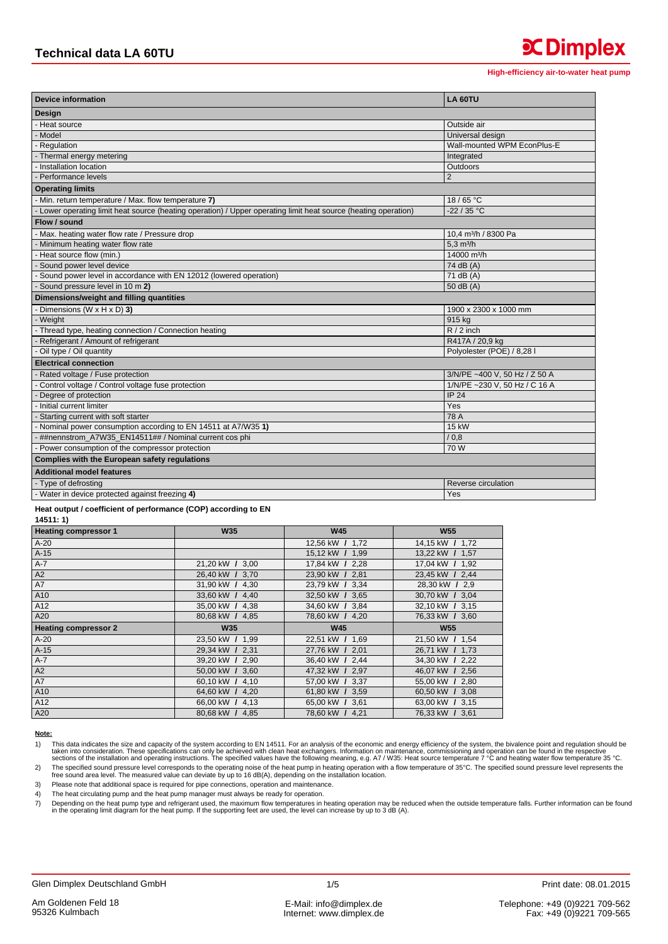**x** Dimplex

| <b>Device information</b>                                                                                     | LA 60TU                          |  |  |  |
|---------------------------------------------------------------------------------------------------------------|----------------------------------|--|--|--|
| Design                                                                                                        |                                  |  |  |  |
| Heat source                                                                                                   | Outside air                      |  |  |  |
| Model                                                                                                         | Universal design                 |  |  |  |
| Regulation                                                                                                    | Wall-mounted WPM EconPlus-E      |  |  |  |
| Thermal energy metering                                                                                       | Integrated                       |  |  |  |
| Installation location                                                                                         | Outdoors                         |  |  |  |
| Performance levels                                                                                            | 2                                |  |  |  |
| <b>Operating limits</b>                                                                                       |                                  |  |  |  |
| Min. return temperature / Max. flow temperature 7)                                                            | 18/65 °C                         |  |  |  |
| Lower operating limit heat source (heating operation) / Upper operating limit heat source (heating operation) | $-22/35 °C$                      |  |  |  |
| Flow / sound                                                                                                  |                                  |  |  |  |
| Max. heating water flow rate / Pressure drop                                                                  | 10,4 m <sup>3</sup> /h / 8300 Pa |  |  |  |
| Minimum heating water flow rate                                                                               | $5.3 \text{ m}^3/h$              |  |  |  |
| Heat source flow (min.)                                                                                       | 14000 m <sup>3</sup> /h          |  |  |  |
| Sound power level device                                                                                      | 74 dB (A)                        |  |  |  |
| Sound power level in accordance with EN 12012 (lowered operation)                                             | $71$ dB $(A)$                    |  |  |  |
| Sound pressure level in 10 m 2)                                                                               | $50$ dB $(A)$                    |  |  |  |
| Dimensions/weight and filling quantities                                                                      |                                  |  |  |  |
| Dimensions (W $\times$ H $\times$ D) 3)                                                                       | 1900 x 2300 x 1000 mm            |  |  |  |
| Weight                                                                                                        | 915 kg                           |  |  |  |
| Thread type, heating connection / Connection heating                                                          | $R/2$ inch                       |  |  |  |
| Refrigerant / Amount of refrigerant                                                                           | R417A / 20,9 kg                  |  |  |  |
| Oil type / Oil quantity                                                                                       | Polyolester (POE) / 8,28 l       |  |  |  |
| <b>Electrical connection</b>                                                                                  |                                  |  |  |  |
| Rated voltage / Fuse protection                                                                               | 3/N/PE ~400 V, 50 Hz / Z 50 A    |  |  |  |
| Control voltage / Control voltage fuse protection                                                             | 1/N/PE ~230 V, 50 Hz / C 16 A    |  |  |  |
| Degree of protection                                                                                          | <b>IP 24</b>                     |  |  |  |
| Initial current limiter                                                                                       | Yes                              |  |  |  |
| Starting current with soft starter                                                                            | 78 A                             |  |  |  |
| Nominal power consumption according to EN 14511 at A7/W35 1)                                                  | <b>15 kW</b>                     |  |  |  |
| ##nennstrom A7W35 EN14511## / Nominal current cos phi                                                         | / 0.8                            |  |  |  |
| Power consumption of the compressor protection                                                                | 70W                              |  |  |  |
| Complies with the European safety regulations                                                                 |                                  |  |  |  |
| <b>Additional model features</b>                                                                              |                                  |  |  |  |
| Type of defrosting                                                                                            | Reverse circulation              |  |  |  |
| Water in device protected against freezing 4)                                                                 | Yes                              |  |  |  |

## Heat output / coefficient of performance (COP) according to EN

 $14511:1)$ 

| <b>Heating compressor 1</b> | <b>W35</b>      | <b>W45</b>      | <b>W55</b>      |
|-----------------------------|-----------------|-----------------|-----------------|
| $A-20$                      |                 | 12,56 kW / 1,72 | 14,15 kW / 1,72 |
| $A-15$                      |                 | 15,12 kW / 1,99 | 13,22 kW / 1,57 |
| $A-7$                       | 21,20 kW / 3,00 | 17,84 kW / 2,28 | 17,04 kW / 1,92 |
| A2                          | 26,40 kW / 3,70 | 23,90 kW / 2,81 | 23,45 kW / 2,44 |
| A7                          | 31,90 kW / 4,30 | 23,79 kW / 3,34 | 28,30 kW / 2,9  |
| A10                         | 33,60 kW / 4,40 | 32,50 kW / 3,65 | 30,70 kW / 3,04 |
| A12                         | 35,00 kW / 4,38 | 34,60 kW / 3,84 | 32,10 kW / 3,15 |
| A20                         | 80,68 kW / 4,85 | 78,60 kW / 4,20 | 76,33 kW / 3,60 |
| <b>Heating compressor 2</b> | <b>W35</b>      | <b>W45</b>      | <b>W55</b>      |
| $A-20$                      | 23,50 kW / 1,99 | 22,51 kW / 1,69 | 21,50 kW / 1,54 |
| $A-15$                      | 29,34 kW / 2,31 | 27,76 kW / 2,01 | 26,71 kW / 1,73 |
| $A-7$                       | 39,20 kW / 2,90 | 36,40 kW / 2,44 | 34,30 kW / 2,22 |
| A2                          | 50,00 kW / 3,60 | 47,32 kW / 2,97 | 46,07 kW / 2,56 |
| A7                          | 60,10 kW / 4,10 | 57,00 kW / 3,37 | 55,00 kW / 2,80 |
| A10                         | 64,60 kW / 4,20 | 61,80 kW / 3,59 | 60,50 kW / 3,08 |
| A12                         | 66,00 kW / 4,13 | 65,00 kW / 3,61 | 63,00 kW / 3,15 |
| A20                         | 80,68 kW / 4,85 | 78,60 kW / 4,21 | 76,33 kW / 3,61 |

## Note:

The specified sound pressure level corresponds to the operating noise of the heat pump in heating operation with a flow temperature of 35°C. The specified sound pressure level represents the free sound area level. The meas  $2)$  $(3)$ 

 $\overline{4}$ The heat circulating pump and the heat pump manager must always be ready for operation.

Depending on the heat pump type and refrigerant used, the maximum flow temperatures in heating operation may be reduced when the outside temperature falls. Further information can be found in the operating limit diagram fo  $7)$ 

This data indicates the size and capacity of the system according to EN 14511. For an analysis of the economic and energy efficiency of the system, the bivalence point and regulation should be taken into consideration. The  $1)$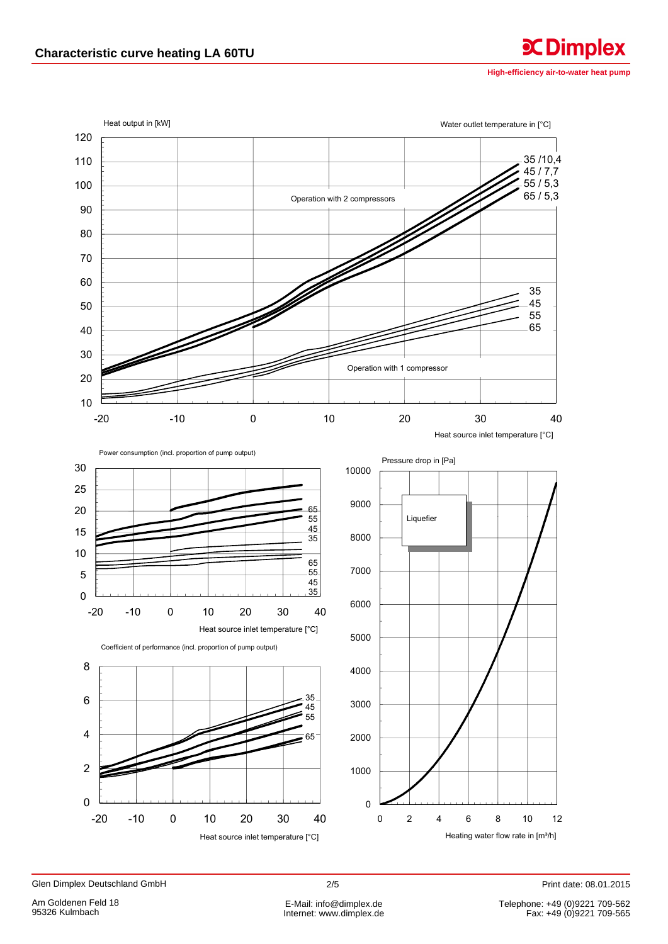High-efficiency air-to-water heat pump

**CDimplex** 



Glen Dimplex Deutschland GmbH

Print date: 08.01.2015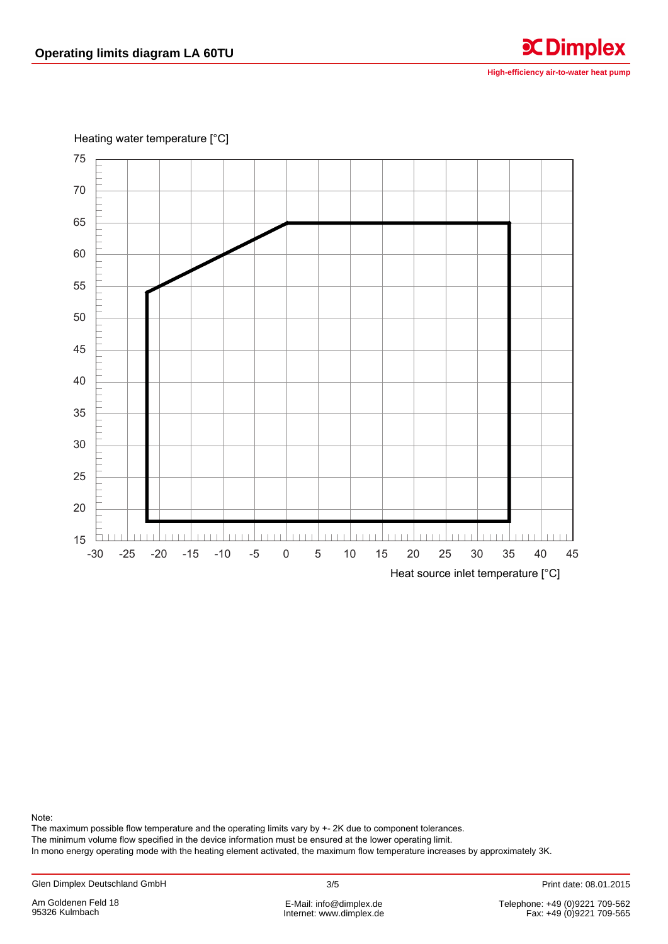**High-efficiency air-to-water heat pump** 

**C**Dimplex

Heating water temperature [°C]



Note:

The maximum possible flow temperature and the operating limits vary by +- 2K due to component tolerances.

The minimum volume flow specified in the device information must be ensured at the lower operating limit.

In mono energy operating mode with the heating element activated, the maximum flow temperature increases by approximately 3K.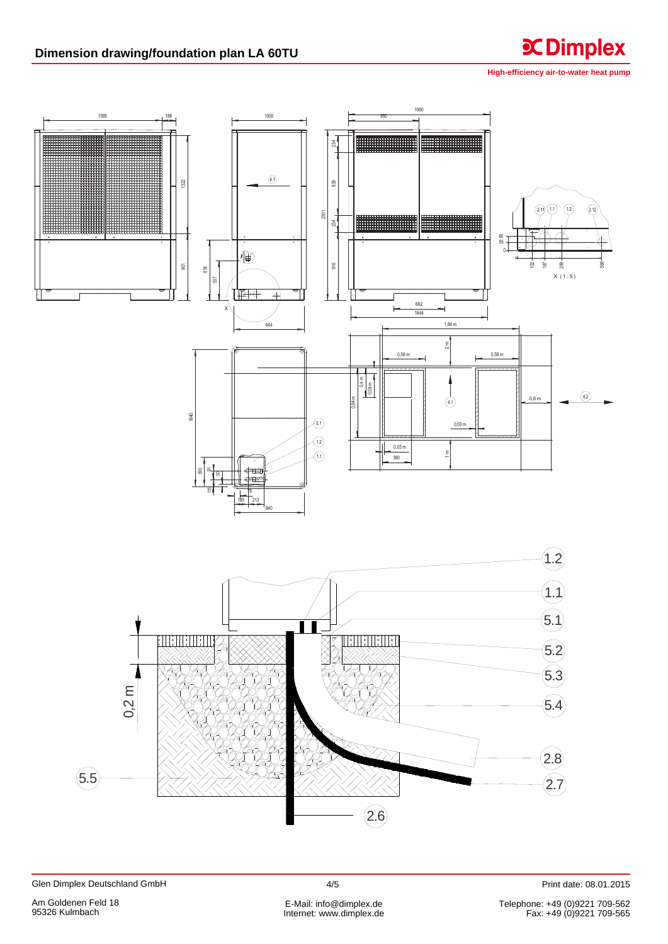## Dimension drawing/foundation plan LA 60TU



**CDimplex** 



Print date: 08.01.2015